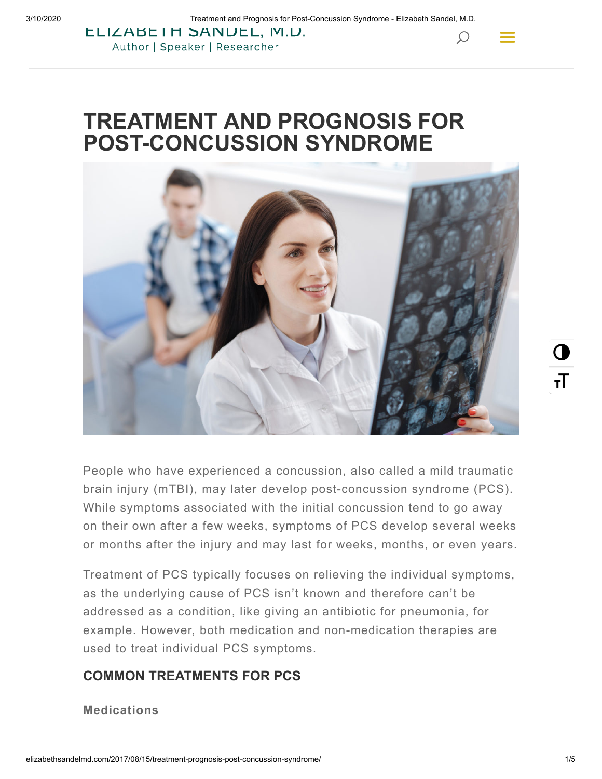$\mathcal{Q}$ 

**LLIZABEIH SANDEL, M.D.** Author | Speaker | Researcher

# **TREATMENT AND PROGNOSIS FOR POST-CONCUSSION SYNDROME**



People who have experienced a concussion, also called a mild traumatic brain injury (mTBI), may later develop post-concussion syndrome (PCS). While symptoms associated with the initial concussion tend to go away on their own after a few weeks, symptoms of PCS develop several weeks or months after the injury and may last for weeks, months, or even years.

Treatment of PCS typically focuses on relieving the individual symptoms, as the underlying cause of PCS isn't known and therefore can't be addressed as a condition, like giving an antibiotic for pneumonia, for example. However, both medication and non-medication therapies are used to treat individual PCS symptoms.

# **COMMON TREATMENTS FOR PCS**

**Medications**

 $\mathbf 0$ 

тT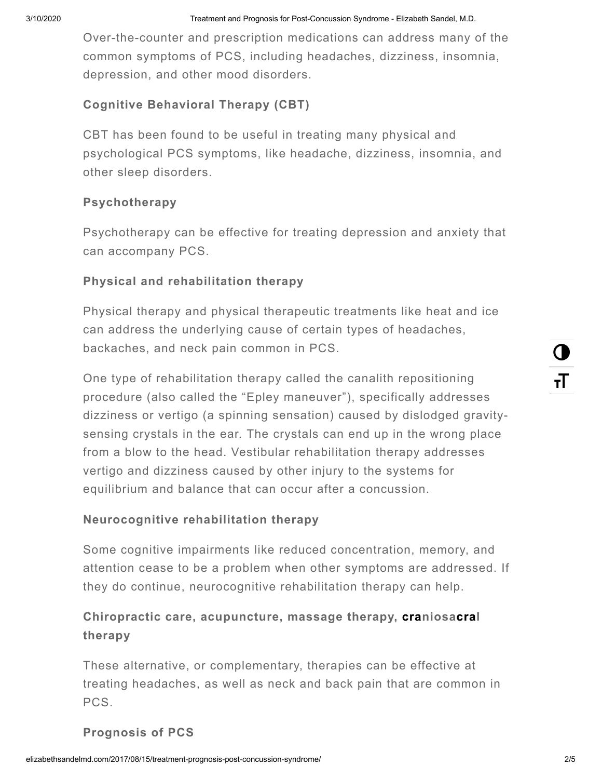Over-the-counter and prescription medications can address many of the common symptoms of PCS, including headaches, dizziness, insomnia, depression, and other mood disorders.

# **Cognitive Behavioral Therapy (CBT)**

CBT has been found to be useful in treating many physical and psychological PCS symptoms, like headache, dizziness, insomnia, and other sleep disorders.

#### **Psychotherapy**

Psychotherapy can be effective for treating depression and anxiety that can accompany PCS.

#### **Physical and rehabilitation therapy**

Physical therapy and physical therapeutic treatments like heat and ice can address the underlying cause of certain types of headaches, backaches, and neck pain common in PCS.

One type of rehabilitation therapy called the canalith repositioning procedure (also called the "Epley maneuver"), specifically addresses dizziness or vertigo (a spinning sensation) caused by dislodged gravitysensing crystals in the ear. The crystals can end up in the wrong place from a blow to the head. Vestibular rehabilitation therapy addresses vertigo and dizziness caused by other injury to the systems for equilibrium and balance that can occur after a concussion.

#### **Neurocognitive rehabilitation therapy**

Some cognitive impairments like reduced concentration, memory, and attention cease to be a problem when other symptoms are addressed. If they do continue, neurocognitive rehabilitation therapy can help.

# **Chiropractic care, acupuncture, massage therapy, craniosacral therapy**

These alternative, or complementary, therapies can be effective at treating headaches, as well as neck and back pain that are common in PCS.

# **Prognosis of PCS**

 $\mathbf 0$ 

тT